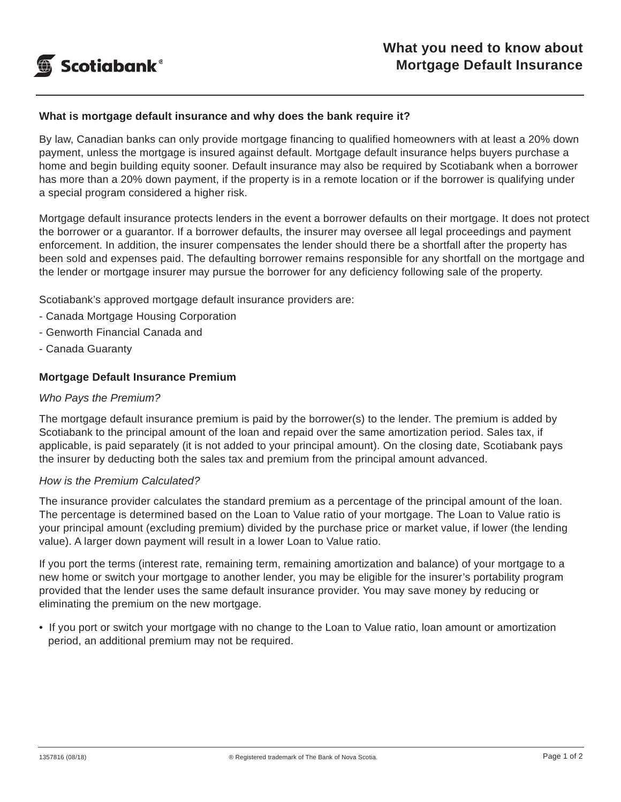

### **What is mortgage default insurance and why does the bank require it?**

By law, Canadian banks can only provide mortgage financing to qualified homeowners with at least a 20% down payment, unless the mortgage is insured against default. Mortgage default insurance helps buyers purchase a home and begin building equity sooner. Default insurance may also be required by Scotiabank when a borrower has more than a 20% down payment, if the property is in a remote location or if the borrower is qualifying under a special program considered a higher risk.

Mortgage default insurance protects lenders in the event a borrower defaults on their mortgage. It does not protect the borrower or a guarantor. If a borrower defaults, the insurer may oversee all legal proceedings and payment enforcement. In addition, the insurer compensates the lender should there be a shortfall after the property has been sold and expenses paid. The defaulting borrower remains responsible for any shortfall on the mortgage and the lender or mortgage insurer may pursue the borrower for any deficiency following sale of the property.

Scotiabank's approved mortgage default insurance providers are:

- Canada Mortgage Housing Corporation
- Genworth Financial Canada and
- Canada Guaranty

#### **Mortgage Default Insurance Premium**

#### *Who Pays the Premium?*

The mortgage default insurance premium is paid by the borrower(s) to the lender. The premium is added by Scotiabank to the principal amount of the loan and repaid over the same amortization period. Sales tax, if applicable, is paid separately (it is not added to your principal amount). On the closing date, Scotiabank pays the insurer by deducting both the sales tax and premium from the principal amount advanced.

#### *How is the Premium Calculated?*

The insurance provider calculates the standard premium as a percentage of the principal amount of the loan. The percentage is determined based on the Loan to Value ratio of your mortgage. The Loan to Value ratio is your principal amount (excluding premium) divided by the purchase price or market value, if lower (the lending value). A larger down payment will result in a lower Loan to Value ratio.

If you port the terms (interest rate, remaining term, remaining amortization and balance) of your mortgage to a new home or switch your mortgage to another lender, you may be eligible for the insurer's portability program provided that the lender uses the same default insurance provider. You may save money by reducing or eliminating the premium on the new mortgage.

• If you port or switch your mortgage with no change to the Loan to Value ratio, loan amount or amortization period, an additional premium may not be required.